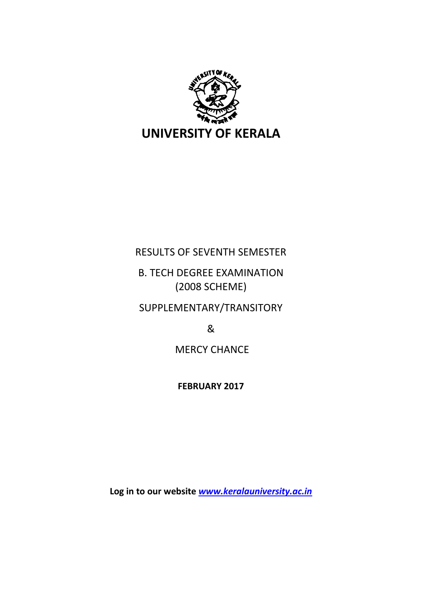

# RESULTS OF SEVENTH SEMESTER

# B. TECH DEGREE EXAMINATION (2008 SCHEME)

SUPPLEMENTARY/TRANSITORY

&

MERCY CHANCE

**FEBRUARY 2017**

**Log in to our website** *[www.keralauniversity.ac.in](http://www.keralauniversity.ac.in/)*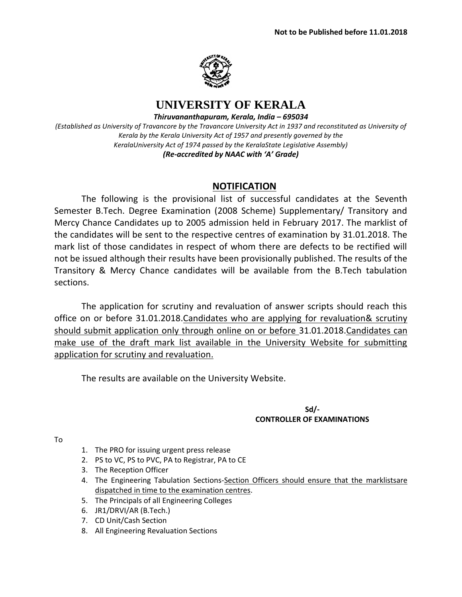

# **UNIVERSITY OF KERALA**

*Thiruvananthapuram, Kerala, India – 695034*

*(Established as University of Travancore by the Travancore University Act in 1937 and reconstituted as University of Kerala by the Kerala University Act of 1957 and presently governed by the KeralaUniversity Act of 1974 passed by the KeralaState Legislative Assembly) (Re-accredited by NAAC with 'A' Grade)*

# **NOTIFICATION**

The following is the provisional list of successful candidates at the Seventh Semester B.Tech. Degree Examination (2008 Scheme) Supplementary/ Transitory and Mercy Chance Candidates up to 2005 admission held in February 2017. The marklist of the candidates will be sent to the respective centres of examination by 31.01.2018. The mark list of those candidates in respect of whom there are defects to be rectified will not be issued although their results have been provisionally published. The results of the Transitory & Mercy Chance candidates will be available from the B.Tech tabulation sections.

The application for scrutiny and revaluation of answer scripts should reach this office on or before 31.01.2018.Candidates who are applying for revaluation& scrutiny should submit application only through online on or before 31.01.2018.Candidates can make use of the draft mark list available in the University Website for submitting application for scrutiny and revaluation.

The results are available on the University Website.

### **Sd/- CONTROLLER OF EXAMINATIONS**

To

- 1. The PRO for issuing urgent press release
- 2. PS to VC, PS to PVC, PA to Registrar, PA to CE
- 3. The Reception Officer
- 4. The Engineering Tabulation Sections-Section Officers should ensure that the marklistsare dispatched in time to the examination centres.
- 5. The Principals of all Engineering Colleges
- 6. JR1/DRVI/AR (B.Tech.)
- 7. CD Unit/Cash Section
- 8. All Engineering Revaluation Sections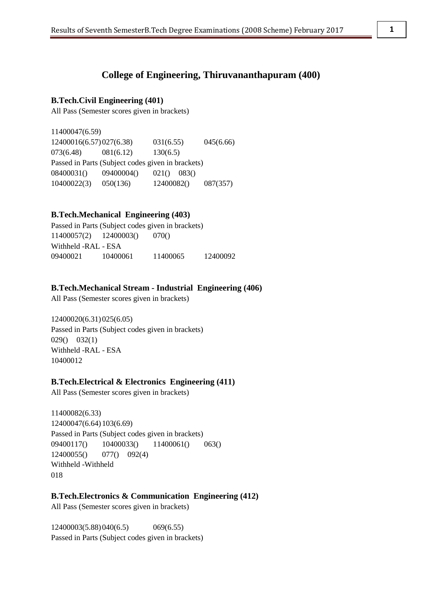# **College of Engineering, Thiruvananthapuram (400)**

## **B.Tech.Civil Engineering (401)**

All Pass (Semester scores given in brackets)

11400047(6.59) 12400016(6.57)027(6.38) 031(6.55) 045(6.66) 073(6.48) 081(6.12) 130(6.5) Passed in Parts (Subject codes given in brackets) 08400031() 09400004() 021() 083() 10400022(3) 050(136) 12400082() 087(357)

## **B.Tech.Mechanical Engineering (403)**

Passed in Parts (Subject codes given in brackets) 11400057(2) 12400003() 070() Withheld -RAL - ESA 09400021 10400061 11400065 12400092

#### **B.Tech.Mechanical Stream - Industrial Engineering (406)**

All Pass (Semester scores given in brackets)

12400020(6.31)025(6.05) Passed in Parts (Subject codes given in brackets) 029() 032(1) Withheld -RAL - ESA 10400012

#### **B.Tech.Electrical & Electronics Engineering (411)**

All Pass (Semester scores given in brackets)

11400082(6.33) 12400047(6.64)103(6.69) Passed in Parts (Subject codes given in brackets) 09400117() 10400033() 11400061() 063() 12400055() 077() 092(4) Withheld -Withheld 018

## **B.Tech.Electronics & Communication Engineering (412)**

All Pass (Semester scores given in brackets)

12400003(5.88)040(6.5) 069(6.55) Passed in Parts (Subject codes given in brackets)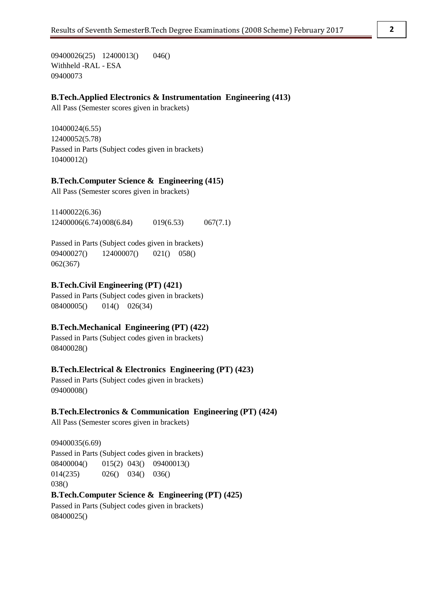09400026(25) 12400013() 046() Withheld -RAL - ESA 09400073

## **B.Tech.Applied Electronics & Instrumentation Engineering (413)**

All Pass (Semester scores given in brackets)

10400024(6.55) 12400052(5.78) Passed in Parts (Subject codes given in brackets) 10400012()

#### **B.Tech.Computer Science & Engineering (415)**

All Pass (Semester scores given in brackets)

11400022(6.36) 12400006(6.74)008(6.84) 019(6.53) 067(7.1)

Passed in Parts (Subject codes given in brackets) 09400027() 12400007() 021() 058() 062(367)

## **B.Tech.Civil Engineering (PT) (421)**

Passed in Parts (Subject codes given in brackets) 08400005() 014() 026(34)

# **B.Tech.Mechanical Engineering (PT) (422)**

Passed in Parts (Subject codes given in brackets) 08400028()

# **B.Tech.Electrical & Electronics Engineering (PT) (423)**

Passed in Parts (Subject codes given in brackets) 09400008()

#### **B.Tech.Electronics & Communication Engineering (PT) (424)**

All Pass (Semester scores given in brackets)

09400035(6.69) Passed in Parts (Subject codes given in brackets) 08400004() 015(2) 043() 09400013() 014(235) 026() 034() 036() 038() **B.Tech.Computer Science & Engineering (PT) (425)** Passed in Parts (Subject codes given in brackets) 08400025()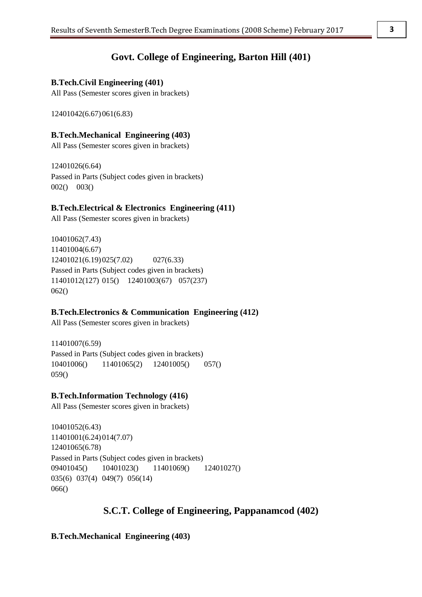# **Govt. College of Engineering, Barton Hill (401)**

# **B.Tech.Civil Engineering (401)**

All Pass (Semester scores given in brackets)

12401042(6.67)061(6.83)

# **B.Tech.Mechanical Engineering (403)**

All Pass (Semester scores given in brackets)

12401026(6.64) Passed in Parts (Subject codes given in brackets) 002() 003()

# **B.Tech.Electrical & Electronics Engineering (411)**

All Pass (Semester scores given in brackets)

10401062(7.43) 11401004(6.67) 12401021(6.19)025(7.02) 027(6.33) Passed in Parts (Subject codes given in brackets) 11401012(127) 015() 12401003(67) 057(237) 062()

# **B.Tech.Electronics & Communication Engineering (412)**

All Pass (Semester scores given in brackets)

11401007(6.59) Passed in Parts (Subject codes given in brackets) 10401006() 11401065(2) 12401005() 057() 059()

# **B.Tech.Information Technology (416)**

All Pass (Semester scores given in brackets)

10401052(6.43) 11401001(6.24)014(7.07) 12401065(6.78) Passed in Parts (Subject codes given in brackets) 09401045() 10401023() 11401069() 12401027() 035(6) 037(4) 049(7) 056(14) 066()

# **S.C.T. College of Engineering, Pappanamcod (402)**

**B.Tech.Mechanical Engineering (403)**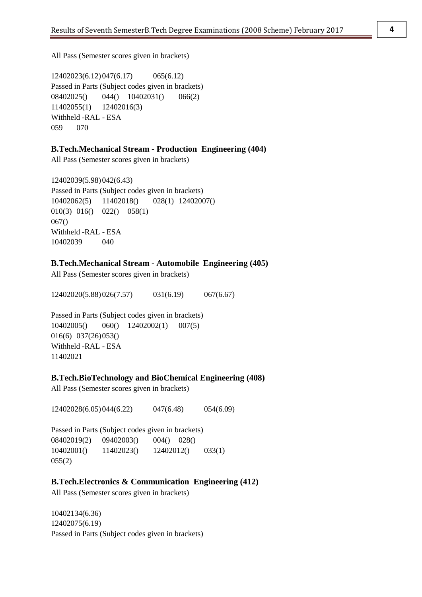All Pass (Semester scores given in brackets)

12402023(6.12)047(6.17) 065(6.12) Passed in Parts (Subject codes given in brackets) 08402025() 044() 10402031() 066(2) 11402055(1) 12402016(3) Withheld -RAL - ESA 059 070

#### **B.Tech.Mechanical Stream - Production Engineering (404)**

All Pass (Semester scores given in brackets)

12402039(5.98)042(6.43) Passed in Parts (Subject codes given in brackets) 10402062(5) 11402018() 028(1) 12402007() 010(3) 016() 022() 058(1) 067() Withheld -RAL - ESA 10402039 040

## **B.Tech.Mechanical Stream - Automobile Engineering (405)**

All Pass (Semester scores given in brackets)

12402020(5.88)026(7.57) 031(6.19) 067(6.67)

Passed in Parts (Subject codes given in brackets) 10402005() 060() 12402002(1) 007(5) 016(6) 037(26)053() Withheld -RAL - ESA 11402021

## **B.Tech.BioTechnology and BioChemical Engineering (408)**

All Pass (Semester scores given in brackets)

12402028(6.05)044(6.22) 047(6.48) 054(6.09)

Passed in Parts (Subject codes given in brackets) 08402019(2) 09402003() 004() 028() 10402001() 11402023() 12402012() 033(1) 055(2)

#### **B.Tech.Electronics & Communication Engineering (412)**

All Pass (Semester scores given in brackets)

10402134(6.36) 12402075(6.19) Passed in Parts (Subject codes given in brackets)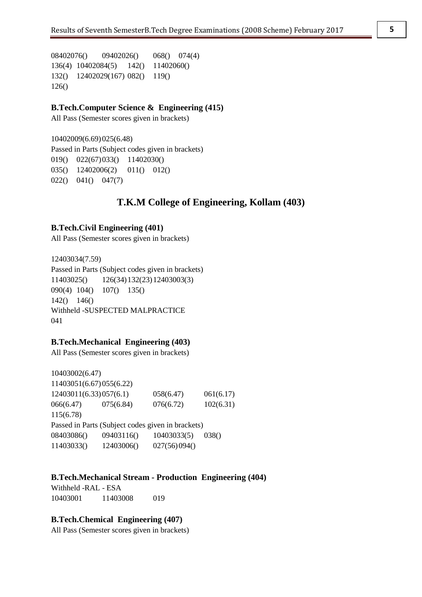08402076() 09402026() 068() 074(4) 136(4) 10402084(5) 142() 11402060() 132() 12402029(167) 082() 119() 126()

# **B.Tech.Computer Science & Engineering (415)**

All Pass (Semester scores given in brackets)

10402009(6.69)025(6.48) Passed in Parts (Subject codes given in brackets) 019() 022(67)033() 11402030() 035() 12402006(2) 011() 012() 022() 041() 047(7)

# **T.K.M College of Engineering, Kollam (403)**

## **B.Tech.Civil Engineering (401)**

All Pass (Semester scores given in brackets)

12403034(7.59) Passed in Parts (Subject codes given in brackets) 11403025() 126(34)132(23)12403003(3) 090(4) 104() 107() 135() 142() 146() Withheld -SUSPECTED MALPRACTICE 041

#### **B.Tech.Mechanical Engineering (403)**

All Pass (Semester scores given in brackets)

10403002(6.47) 11403051(6.67)055(6.22) 12403011(6.33)057(6.1) 058(6.47) 061(6.17) 066(6.47) 075(6.84) 076(6.72) 102(6.31) 115(6.78) Passed in Parts (Subject codes given in brackets) 08403086() 09403116() 10403033(5) 038() 11403033() 12403006() 027(56)094()

#### **B.Tech.Mechanical Stream - Production Engineering (404)**

Withheld -RAL - ESA 10403001 11403008 019

## **B.Tech.Chemical Engineering (407)**

All Pass (Semester scores given in brackets)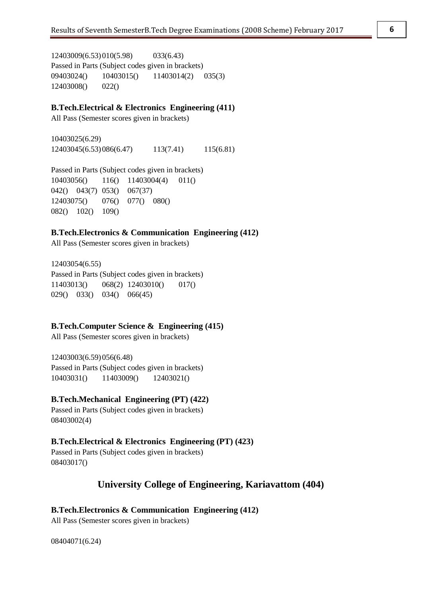12403009(6.53)010(5.98) 033(6.43) Passed in Parts (Subject codes given in brackets) 09403024() 10403015() 11403014(2) 035(3) 12403008() 022()

#### **B.Tech.Electrical & Electronics Engineering (411)**

All Pass (Semester scores given in brackets)

10403025(6.29) 12403045(6.53)086(6.47) 113(7.41) 115(6.81)

Passed in Parts (Subject codes given in brackets) 10403056() 116() 11403004(4) 011() 042() 043(7) 053() 067(37) 12403075() 076() 077() 080() 082() 102() 109()

## **B.Tech.Electronics & Communication Engineering (412)**

All Pass (Semester scores given in brackets)

12403054(6.55) Passed in Parts (Subject codes given in brackets) 11403013() 068(2) 12403010() 017() 029() 033() 034() 066(45)

#### **B.Tech.Computer Science & Engineering (415)**

All Pass (Semester scores given in brackets)

12403003(6.59)056(6.48) Passed in Parts (Subject codes given in brackets) 10403031() 11403009() 12403021()

#### **B.Tech.Mechanical Engineering (PT) (422)**

Passed in Parts (Subject codes given in brackets) 08403002(4)

#### **B.Tech.Electrical & Electronics Engineering (PT) (423)**

Passed in Parts (Subject codes given in brackets) 08403017()

# **University College of Engineering, Kariavattom (404)**

#### **B.Tech.Electronics & Communication Engineering (412)**

All Pass (Semester scores given in brackets)

08404071(6.24)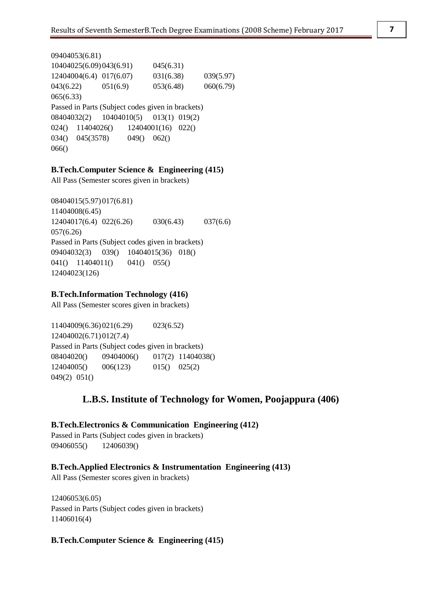```
09404053(6.81)
10404025(6.09)043(6.91) 045(6.31)
12404004(6.4) 017(6.07) 031(6.38) 039(5.97)
043(6.22) 051(6.9) 053(6.48) 060(6.79)
065(6.33)
Passed in Parts (Subject codes given in brackets)
08404032(2) 10404010(5) 013(1) 019(2)
024() 11404026() 12404001(16) 022()
034() 045(3578) 049() 062()
066()
```
# **B.Tech.Computer Science & Engineering (415)**

All Pass (Semester scores given in brackets)

08404015(5.97)017(6.81) 11404008(6.45) 12404017(6.4) 022(6.26) 030(6.43) 037(6.6) 057(6.26) Passed in Parts (Subject codes given in brackets) 09404032(3) 039() 10404015(36) 018() 041() 11404011() 041() 055() 12404023(126)

## **B.Tech.Information Technology (416)**

All Pass (Semester scores given in brackets)

11404009(6.36)021(6.29) 023(6.52) 12404002(6.71)012(7.4) Passed in Parts (Subject codes given in brackets) 08404020() 09404006() 017(2) 11404038() 12404005() 006(123) 015() 025(2) 049(2) 051()

# **L.B.S. Institute of Technology for Women, Poojappura (406)**

# **B.Tech.Electronics & Communication Engineering (412)**

Passed in Parts (Subject codes given in brackets) 09406055() 12406039()

# **B.Tech.Applied Electronics & Instrumentation Engineering (413)**

All Pass (Semester scores given in brackets)

12406053(6.05) Passed in Parts (Subject codes given in brackets) 11406016(4)

## **B.Tech.Computer Science & Engineering (415)**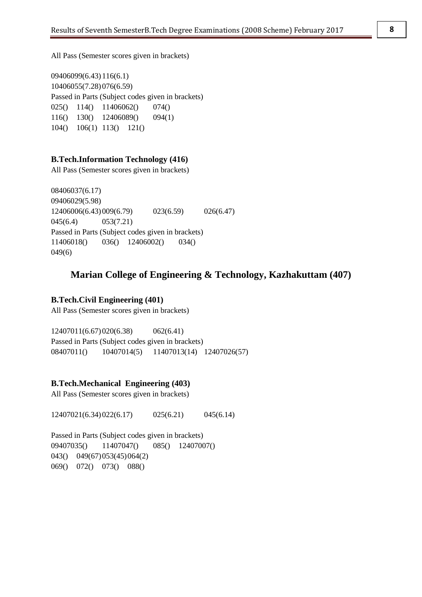All Pass (Semester scores given in brackets)

09406099(6.43)116(6.1) 10406055(7.28)076(6.59) Passed in Parts (Subject codes given in brackets) 025() 114() 11406062() 074() 116() 130() 12406089() 094(1) 104() 106(1) 113() 121()

## **B.Tech.Information Technology (416)**

All Pass (Semester scores given in brackets)

08406037(6.17) 09406029(5.98) 12406006(6.43)009(6.79) 023(6.59) 026(6.47) 045(6.4) 053(7.21) Passed in Parts (Subject codes given in brackets) 11406018() 036() 12406002() 034() 049(6)

# **Marian College of Engineering & Technology, Kazhakuttam (407)**

# **B.Tech.Civil Engineering (401)**

All Pass (Semester scores given in brackets)

12407011(6.67)020(6.38) 062(6.41) Passed in Parts (Subject codes given in brackets) 08407011() 10407014(5) 11407013(14) 12407026(57)

#### **B.Tech.Mechanical Engineering (403)**

All Pass (Semester scores given in brackets)

12407021(6.34)022(6.17) 025(6.21) 045(6.14)

Passed in Parts (Subject codes given in brackets) 09407035() 11407047() 085() 12407007() 043() 049(67)053(45)064(2) 069() 072() 073() 088()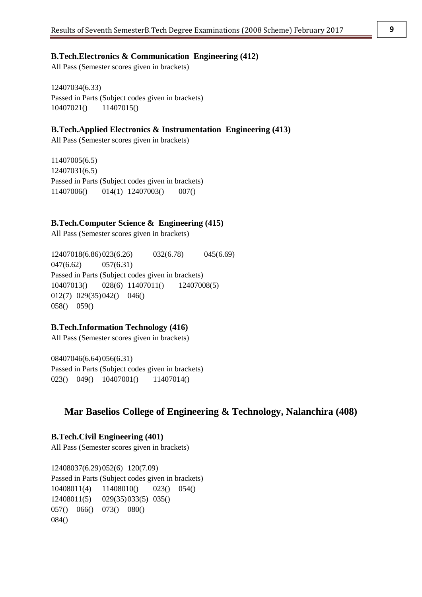#### **B.Tech.Electronics & Communication Engineering (412)**

All Pass (Semester scores given in brackets)

12407034(6.33) Passed in Parts (Subject codes given in brackets) 10407021() 11407015()

## **B.Tech.Applied Electronics & Instrumentation Engineering (413)**

All Pass (Semester scores given in brackets)

11407005(6.5) 12407031(6.5) Passed in Parts (Subject codes given in brackets) 11407006() 014(1) 12407003() 007()

#### **B.Tech.Computer Science & Engineering (415)**

All Pass (Semester scores given in brackets)

12407018(6.86)023(6.26) 032(6.78) 045(6.69) 047(6.62) 057(6.31) Passed in Parts (Subject codes given in brackets) 10407013() 028(6) 11407011() 12407008(5) 012(7) 029(35)042() 046() 058() 059()

### **B.Tech.Information Technology (416)**

All Pass (Semester scores given in brackets)

08407046(6.64)056(6.31) Passed in Parts (Subject codes given in brackets) 023() 049() 10407001() 11407014()

# **Mar Baselios College of Engineering & Technology, Nalanchira (408)**

#### **B.Tech.Civil Engineering (401)**

All Pass (Semester scores given in brackets)

12408037(6.29)052(6) 120(7.09) Passed in Parts (Subject codes given in brackets) 10408011(4) 11408010() 023() 054() 12408011(5) 029(35)033(5) 035() 057() 066() 073() 080() 084()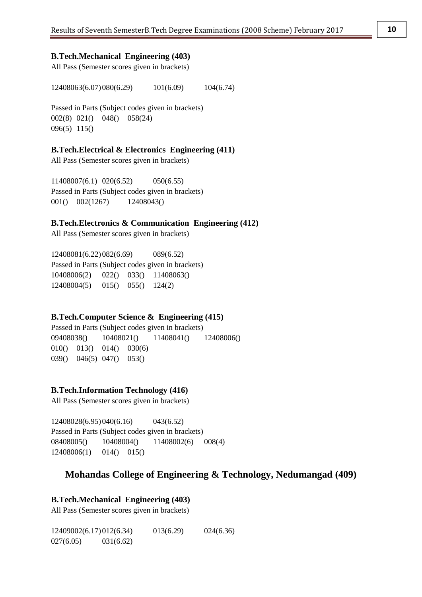#### **B.Tech.Mechanical Engineering (403)**

All Pass (Semester scores given in brackets)

12408063(6.07)080(6.29) 101(6.09) 104(6.74)

Passed in Parts (Subject codes given in brackets) 002(8) 021() 048() 058(24) 096(5) 115()

#### **B.Tech.Electrical & Electronics Engineering (411)**

All Pass (Semester scores given in brackets)

11408007(6.1) 020(6.52) 050(6.55) Passed in Parts (Subject codes given in brackets) 001() 002(1267) 12408043()

# **B.Tech.Electronics & Communication Engineering (412)**

All Pass (Semester scores given in brackets)

12408081(6.22)082(6.69) 089(6.52) Passed in Parts (Subject codes given in brackets) 10408006(2) 022() 033() 11408063() 12408004(5) 015() 055() 124(2)

#### **B.Tech.Computer Science & Engineering (415)**

Passed in Parts (Subject codes given in brackets) 09408038() 10408021() 11408041() 12408006() 010() 013() 014() 030(6) 039() 046(5) 047() 053()

#### **B.Tech.Information Technology (416)**

All Pass (Semester scores given in brackets)

12408028(6.95)040(6.16) 043(6.52) Passed in Parts (Subject codes given in brackets) 08408005() 10408004() 11408002(6) 008(4) 12408006(1) 014() 015()

# **Mohandas College of Engineering & Technology, Nedumangad (409)**

## **B.Tech.Mechanical Engineering (403)**

All Pass (Semester scores given in brackets)

12409002(6.17)012(6.34) 013(6.29) 024(6.36) 027(6.05) 031(6.62)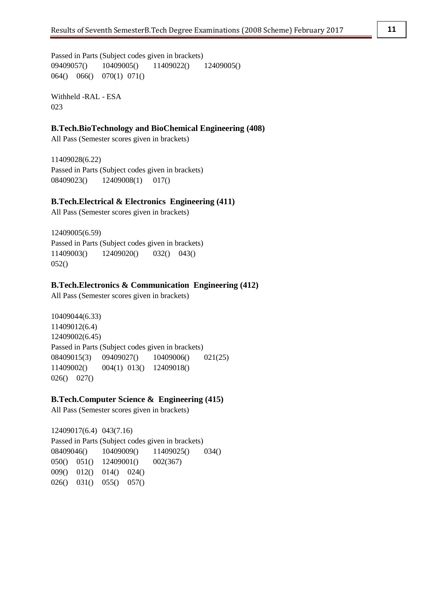Passed in Parts (Subject codes given in brackets) 09409057() 10409005() 11409022() 12409005() 064() 066() 070(1) 071()

Withheld -RAL - ESA 023

# **B.Tech.BioTechnology and BioChemical Engineering (408)**

All Pass (Semester scores given in brackets)

11409028(6.22) Passed in Parts (Subject codes given in brackets) 08409023() 12409008(1) 017()

## **B.Tech.Electrical & Electronics Engineering (411)**

All Pass (Semester scores given in brackets)

12409005(6.59) Passed in Parts (Subject codes given in brackets) 11409003() 12409020() 032() 043() 052()

#### **B.Tech.Electronics & Communication Engineering (412)**

All Pass (Semester scores given in brackets)

10409044(6.33) 11409012(6.4) 12409002(6.45) Passed in Parts (Subject codes given in brackets) 08409015(3) 09409027() 10409006() 021(25) 11409002() 004(1) 013() 12409018() 026() 027()

### **B.Tech.Computer Science & Engineering (415)**

All Pass (Semester scores given in brackets)

12409017(6.4) 043(7.16) Passed in Parts (Subject codes given in brackets) 08409046() 10409009() 11409025() 034() 050() 051() 12409001() 002(367) 009() 012() 014() 024() 026() 031() 055() 057()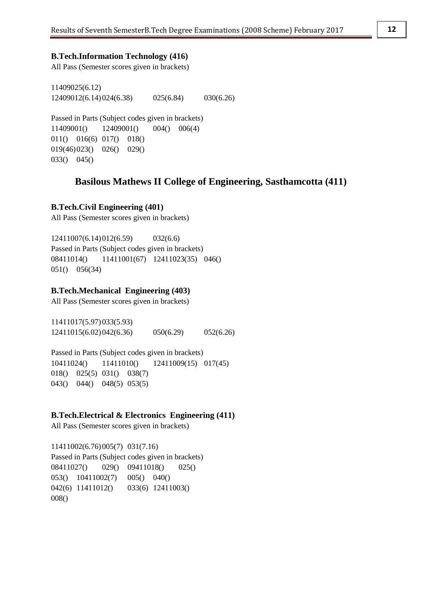#### **B.Tech.Information Technology (416)**

All Pass (Semester scores given in brackets)

11409025(6.12) 12409012(6.14)024(6.38) 025(6.84) 030(6.26)

Passed in Parts (Subject codes given in brackets) 11409001() 12409001() 004() 006(4) 011() 016(6) 017() 018() 019(46)023() 026() 029() 033() 045()

# **Basilous Mathews II College of Engineering, Sasthamcotta (411)**

#### **B.Tech.Civil Engineering (401)**

All Pass (Semester scores given in brackets)

12411007(6.14)012(6.59) 032(6.6) Passed in Parts (Subject codes given in brackets) 08411014() 11411001(67) 12411023(35) 046() 051() 056(34)

## **B.Tech.Mechanical Engineering (403)**

All Pass (Semester scores given in brackets)

11411017(5.97)033(5.93) 12411015(6.02)042(6.36) 050(6.29) 052(6.26)

Passed in Parts (Subject codes given in brackets) 10411024() 11411010() 12411009(15) 017(45) 018() 025(5) 031() 038(7) 043() 044() 048(5) 053(5)

#### **B.Tech.Electrical & Electronics Engineering (411)**

All Pass (Semester scores given in brackets)

11411002(6.76)005(7) 031(7.16) Passed in Parts (Subject codes given in brackets) 08411027() 029() 09411018() 025() 053() 10411002(7) 005() 040() 042(6) 11411012() 033(6) 12411003() 008()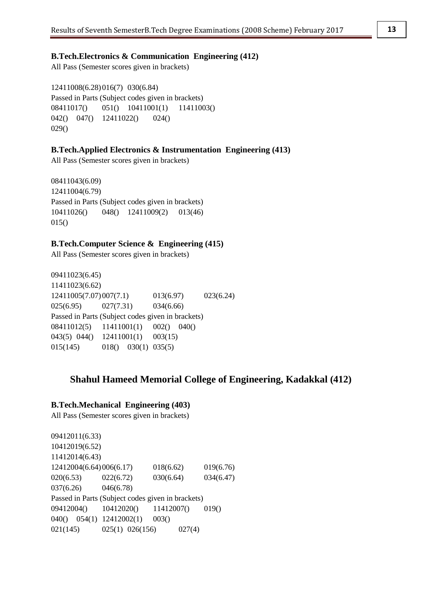# **B.Tech.Electronics & Communication Engineering (412)**

All Pass (Semester scores given in brackets)

12411008(6.28)016(7) 030(6.84) Passed in Parts (Subject codes given in brackets) 08411017() 051() 10411001(1) 11411003() 042() 047() 12411022() 024() 029()

#### **B.Tech.Applied Electronics & Instrumentation Engineering (413)**

All Pass (Semester scores given in brackets)

08411043(6.09) 12411004(6.79) Passed in Parts (Subject codes given in brackets) 10411026() 048() 12411009(2) 013(46)  $015()$ 

## **B.Tech.Computer Science & Engineering (415)**

All Pass (Semester scores given in brackets)

09411023(6.45) 11411023(6.62) 12411005(7.07) 007(7.1) 013(6.97) 023(6.24) 025(6.95) 027(7.31) 034(6.66) Passed in Parts (Subject codes given in brackets) 08411012(5) 11411001(1) 002() 040() 043(5) 044() 12411001(1) 003(15) 015(145) 018() 030(1) 035(5)

# **Shahul Hameed Memorial College of Engineering, Kadakkal (412)**

#### **B.Tech.Mechanical Engineering (403)**

All Pass (Semester scores given in brackets)

09412011(6.33) 10412019(6.52) 11412014(6.43) 12412004(6.64)006(6.17) 018(6.62) 019(6.76) 020(6.53) 022(6.72) 030(6.64) 034(6.47) 037(6.26) 046(6.78) Passed in Parts (Subject codes given in brackets) 09412004() 10412020() 11412007() 019() 040() 054(1) 12412002(1) 003() 021(145) 025(1) 026(156) 027(4)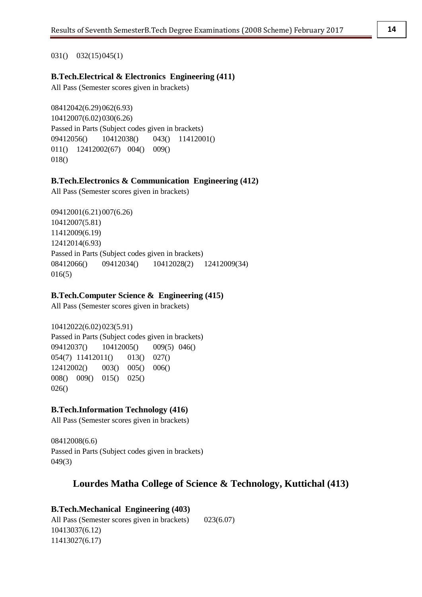## 031() 032(15)045(1)

# **B.Tech.Electrical & Electronics Engineering (411)**

All Pass (Semester scores given in brackets)

08412042(6.29)062(6.93) 10412007(6.02)030(6.26) Passed in Parts (Subject codes given in brackets) 09412056() 10412038() 043() 11412001() 011() 12412002(67) 004() 009() 018()

## **B.Tech.Electronics & Communication Engineering (412)**

All Pass (Semester scores given in brackets)

09412001(6.21)007(6.26) 10412007(5.81) 11412009(6.19) 12412014(6.93) Passed in Parts (Subject codes given in brackets) 08412066() 09412034() 10412028(2) 12412009(34) 016(5)

## **B.Tech.Computer Science & Engineering (415)**

All Pass (Semester scores given in brackets)

10412022(6.02)023(5.91) Passed in Parts (Subject codes given in brackets) 09412037() 10412005() 009(5) 046() 054(7) 11412011() 013() 027() 12412002() 003() 005() 006() 008() 009() 015() 025() 026()

# **B.Tech.Information Technology (416)**

All Pass (Semester scores given in brackets)

08412008(6.6) Passed in Parts (Subject codes given in brackets) 049(3)

# **Lourdes Matha College of Science & Technology, Kuttichal (413)**

# **B.Tech.Mechanical Engineering (403)**

All Pass (Semester scores given in brackets) 023(6.07) 10413037(6.12) 11413027(6.17)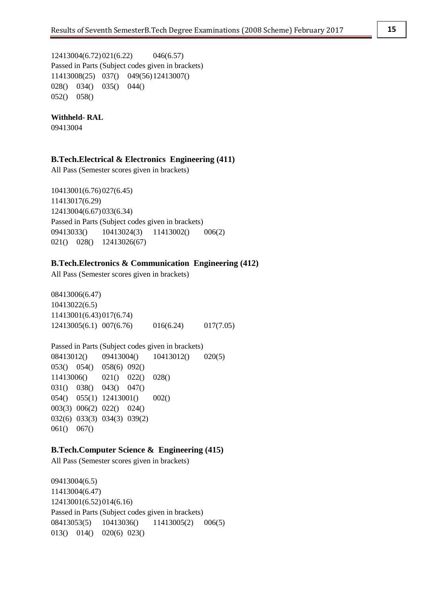12413004(6.72)021(6.22) 046(6.57) Passed in Parts (Subject codes given in brackets) 11413008(25) 037() 049(56)12413007() 028() 034() 035() 044() 052() 058()

#### **Withheld- RAL**

09413004

## **B.Tech.Electrical & Electronics Engineering (411)**

All Pass (Semester scores given in brackets)

10413001(6.76)027(6.45) 11413017(6.29) 12413004(6.67)033(6.34) Passed in Parts (Subject codes given in brackets) 09413033() 10413024(3) 11413002() 006(2) 021() 028() 12413026(67)

## **B.Tech.Electronics & Communication Engineering (412)**

All Pass (Semester scores given in brackets)

08413006(6.47) 10413022(6.5) 11413001(6.43)017(6.74) 12413005(6.1) 007(6.76) 016(6.24) 017(7.05)

Passed in Parts (Subject codes given in brackets) 08413012() 09413004() 10413012() 020(5) 053() 054() 058(6) 092() 11413006() 021() 022() 028() 031() 038() 043() 047() 054() 055(1) 12413001() 002() 003(3) 006(2) 022() 024() 032(6) 033(3) 034(3) 039(2) 061() 067()

#### **B.Tech.Computer Science & Engineering (415)**

All Pass (Semester scores given in brackets)

09413004(6.5) 11413004(6.47) 12413001(6.52)014(6.16) Passed in Parts (Subject codes given in brackets) 08413053(5) 10413036() 11413005(2) 006(5) 013() 014() 020(6) 023()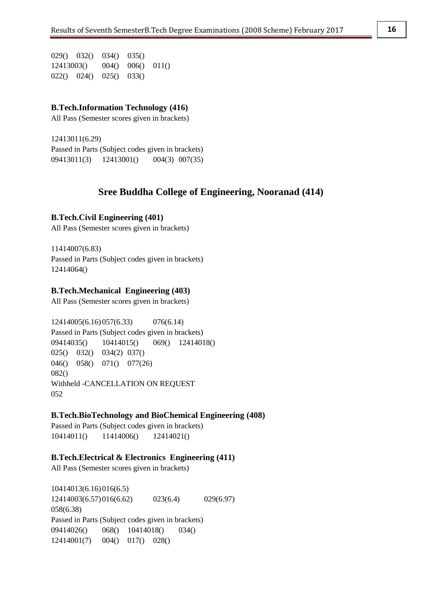029() 032() 034() 035() 12413003() 004() 006() 011() 022() 024() 025() 033()

#### **B.Tech.Information Technology (416)**

All Pass (Semester scores given in brackets)

12413011(6.29) Passed in Parts (Subject codes given in brackets) 09413011(3) 12413001() 004(3) 007(35)

# **Sree Buddha College of Engineering, Nooranad (414)**

#### **B.Tech.Civil Engineering (401)**

All Pass (Semester scores given in brackets)

11414007(6.83) Passed in Parts (Subject codes given in brackets) 12414064()

### **B.Tech.Mechanical Engineering (403)**

All Pass (Semester scores given in brackets)

12414005(6.16)057(6.33) 076(6.14) Passed in Parts (Subject codes given in brackets) 09414035() 10414015() 069() 12414018() 025() 032() 034(2) 037() 046() 058() 071() 077(26) 082() Withheld -CANCELLATION ON REQUEST 052

#### **B.Tech.BioTechnology and BioChemical Engineering (408)**

Passed in Parts (Subject codes given in brackets) 10414011() 11414006() 12414021()

#### **B.Tech.Electrical & Electronics Engineering (411)**

All Pass (Semester scores given in brackets)

10414013(6.16)016(6.5) 12414003(6.57)016(6.62) 023(6.4) 029(6.97) 058(6.38) Passed in Parts (Subject codes given in brackets) 09414026() 068() 10414018() 034() 12414001(7) 004() 017() 028()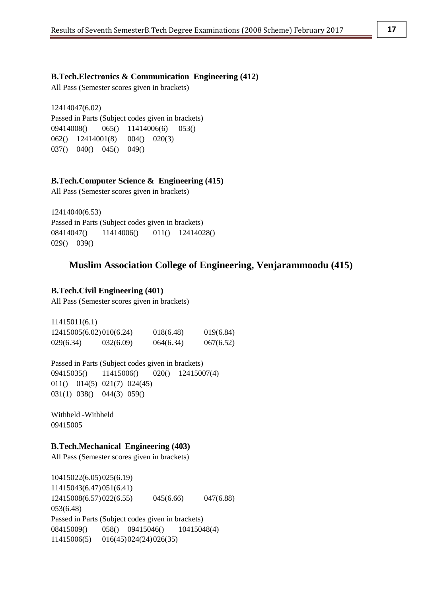#### **B.Tech.Electronics & Communication Engineering (412)**

All Pass (Semester scores given in brackets)

12414047(6.02) Passed in Parts (Subject codes given in brackets) 09414008() 065() 11414006(6) 053() 062() 12414001(8) 004() 020(3) 037() 040() 045() 049()

#### **B.Tech.Computer Science & Engineering (415)**

All Pass (Semester scores given in brackets)

12414040(6.53) Passed in Parts (Subject codes given in brackets) 08414047() 11414006() 011() 12414028() 029() 039()

# **Muslim Association College of Engineering, Venjarammoodu (415)**

#### **B.Tech.Civil Engineering (401)**

All Pass (Semester scores given in brackets)

| 11415011(6.1) |                         |           |           |
|---------------|-------------------------|-----------|-----------|
|               | 12415005(6.02)010(6.24) | 018(6.48) | 019(6.84) |
| 029(6.34)     | 032(6.09)               | 064(6.34) | 067(6.52) |

Passed in Parts (Subject codes given in brackets) 09415035() 11415006() 020() 12415007(4) 011() 014(5) 021(7) 024(45) 031(1) 038() 044(3) 059()

Withheld -Withheld 09415005

#### **B.Tech.Mechanical Engineering (403)**

All Pass (Semester scores given in brackets)

10415022(6.05)025(6.19) 11415043(6.47)051(6.41) 12415008(6.57)022(6.55) 045(6.66) 047(6.88) 053(6.48) Passed in Parts (Subject codes given in brackets) 08415009() 058() 09415046() 10415048(4) 11415006(5) 016(45)024(24)026(35)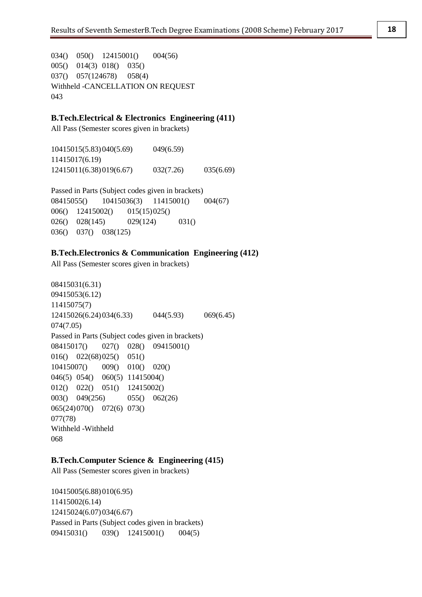034() 050() 12415001() 004(56) 005() 014(3) 018() 035() 037() 057(124678) 058(4) Withheld -CANCELLATION ON REQUEST 043

# **B.Tech.Electrical & Electronics Engineering (411)**

All Pass (Semester scores given in brackets)

10415015(5.83)040(5.69) 049(6.59) 11415017(6.19) 12415011(6.38)019(6.67) 032(7.26) 035(6.69)

Passed in Parts (Subject codes given in brackets) 08415055() 10415036(3) 11415001() 004(67) 006() 12415002() 015(15)025() 026() 028(145) 029(124) 031() 036() 037() 038(125)

## **B.Tech.Electronics & Communication Engineering (412)**

All Pass (Semester scores given in brackets)

08415031(6.31) 09415053(6.12) 11415075(7) 12415026(6.24)034(6.33) 044(5.93) 069(6.45) 074(7.05) Passed in Parts (Subject codes given in brackets) 08415017() 027() 028() 09415001() 016() 022(68)025() 051() 10415007() 009() 010() 020() 046(5) 054() 060(5) 11415004() 012() 022() 051() 12415002() 003() 049(256) 055() 062(26) 065(24)070() 072(6) 073() 077(78) Withheld -Withheld 068

#### **B.Tech.Computer Science & Engineering (415)**

All Pass (Semester scores given in brackets)

10415005(6.88)010(6.95) 11415002(6.14) 12415024(6.07)034(6.67) Passed in Parts (Subject codes given in brackets) 09415031() 039() 12415001() 004(5)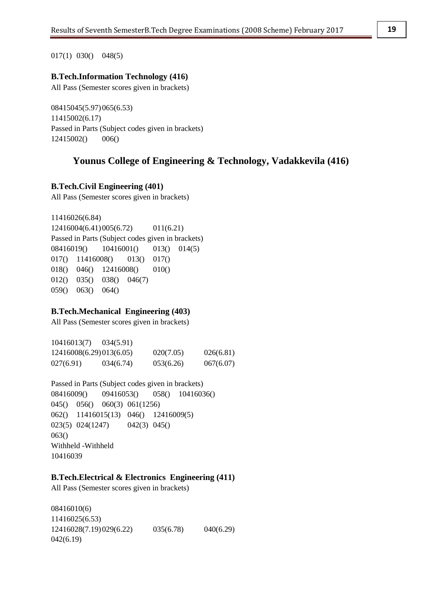017(1) 030() 048(5)

## **B.Tech.Information Technology (416)**

All Pass (Semester scores given in brackets)

08415045(5.97)065(6.53) 11415002(6.17) Passed in Parts (Subject codes given in brackets) 12415002() 006()

# **Younus College of Engineering & Technology, Vadakkevila (416)**

**B.Tech.Civil Engineering (401)**

All Pass (Semester scores given in brackets)

```
11416026(6.84)
12416004(6.41)005(6.72) 011(6.21)
Passed in Parts (Subject codes given in brackets)
08416019() 10416001() 013() 014(5)
017() 11416008() 013() 017()
018() 046() 12416008() 010()
012() 035() 038() 046(7)
059() 063() 064()
```
# **B.Tech.Mechanical Engineering (403)**

All Pass (Semester scores given in brackets)

10416013(7) 034(5.91) 12416008(6.29)013(6.05) 020(7.05) 026(6.81) 027(6.91) 034(6.74) 053(6.26) 067(6.07)

Passed in Parts (Subject codes given in brackets) 08416009() 09416053() 058() 10416036() 045() 056() 060(3) 061(1256) 062() 11416015(13) 046() 12416009(5) 023(5) 024(1247) 042(3) 045() 063() Withheld -Withheld 10416039

## **B.Tech.Electrical & Electronics Engineering (411)**

All Pass (Semester scores given in brackets)

08416010(6) 11416025(6.53) 12416028(7.19)029(6.22) 035(6.78) 040(6.29) 042(6.19)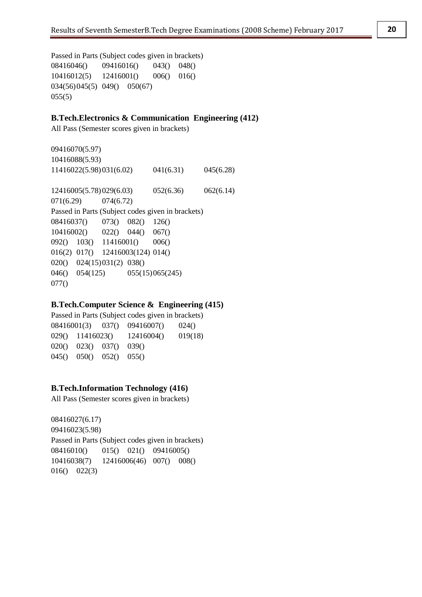Passed in Parts (Subject codes given in brackets) 08416046() 09416016() 043() 048() 10416012(5) 12416001() 006() 016() 034(56)045(5) 049() 050(67) 055(5)

# **B.Tech.Electronics & Communication Engineering (412)**

All Pass (Semester scores given in brackets)

09416070(5.97) 10416088(5.93) 11416022(5.98)031(6.02) 041(6.31) 045(6.28) 12416005(5.78)029(6.03) 052(6.36) 062(6.14) 071(6.29) 074(6.72) Passed in Parts (Subject codes given in brackets) 08416037() 073() 082() 126() 10416002() 022() 044() 067() 092() 103() 11416001() 006() 016(2) 017() 12416003(124) 014() 020() 024(15)031(2) 038() 046() 054(125) 055(15)065(245) 077()

# **B.Tech.Computer Science & Engineering (415)**

Passed in Parts (Subject codes given in brackets) 08416001(3) 037() 09416007() 024() 029() 11416023() 12416004() 019(18) 020() 023() 037() 039() 045() 050() 052() 055()

# **B.Tech.Information Technology (416)**

All Pass (Semester scores given in brackets)

08416027(6.17) 09416023(5.98) Passed in Parts (Subject codes given in brackets) 08416010() 015() 021() 09416005() 10416038(7) 12416006(46) 007() 008() 016() 022(3)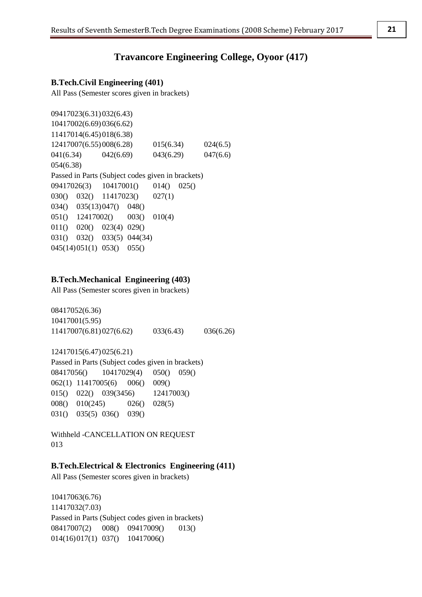# **Travancore Engineering College, Oyoor (417)**

## **B.Tech.Civil Engineering (401)**

All Pass (Semester scores given in brackets)

09417023(6.31)032(6.43) 10417002(6.69)036(6.62) 11417014(6.45)018(6.38) 12417007(6.55)008(6.28) 015(6.34) 024(6.5) 041(6.34) 042(6.69) 043(6.29) 047(6.6) 054(6.38) Passed in Parts (Subject codes given in brackets) 09417026(3) 10417001() 014() 025() 030() 032() 11417023() 027(1) 034() 035(13)047() 048() 051() 12417002() 003() 010(4) 011() 020() 023(4) 029() 031() 032() 033(5) 044(34) 045(14)051(1) 053() 055()

#### **B.Tech.Mechanical Engineering (403)**

All Pass (Semester scores given in brackets)

08417052(6.36) 10417001(5.95) 11417007(6.81)027(6.62) 033(6.43) 036(6.26)

12417015(6.47)025(6.21) Passed in Parts (Subject codes given in brackets) 08417056() 10417029(4) 050() 059() 062(1) 11417005(6) 006() 009() 015() 022() 039(3456) 12417003() 008() 010(245) 026() 028(5) 031() 035(5) 036() 039()

Withheld -CANCELLATION ON REQUEST 013

## **B.Tech.Electrical & Electronics Engineering (411)**

All Pass (Semester scores given in brackets)

10417063(6.76) 11417032(7.03) Passed in Parts (Subject codes given in brackets) 08417007(2) 008() 09417009() 013() 014(16)017(1) 037() 10417006()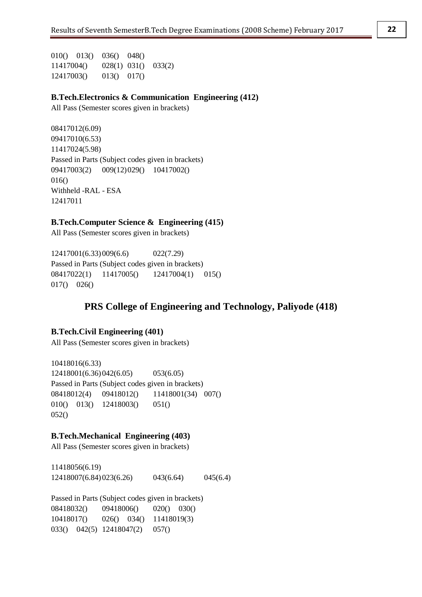010() 013() 036() 048() 11417004() 028(1) 031() 033(2) 12417003() 013() 017()

## **B.Tech.Electronics & Communication Engineering (412)**

All Pass (Semester scores given in brackets)

08417012(6.09) 09417010(6.53) 11417024(5.98) Passed in Parts (Subject codes given in brackets) 09417003(2) 009(12)029() 10417002() 016() Withheld -RAL - ESA 12417011

## **B.Tech.Computer Science & Engineering (415)**

All Pass (Semester scores given in brackets)

12417001(6.33)009(6.6) 022(7.29) Passed in Parts (Subject codes given in brackets) 08417022(1) 11417005() 12417004(1) 015() 017() 026()

# **PRS College of Engineering and Technology, Paliyode (418)**

# **B.Tech.Civil Engineering (401)**

All Pass (Semester scores given in brackets)

10418016(6.33) 12418001(6.36)042(6.05) 053(6.05) Passed in Parts (Subject codes given in brackets) 08418012(4) 09418012() 11418001(34) 007() 010() 013() 12418003() 051() 052()

#### **B.Tech.Mechanical Engineering (403)**

All Pass (Semester scores given in brackets)

11418056(6.19) 12418007(6.84)023(6.26) 043(6.64) 045(6.4)

Passed in Parts (Subject codes given in brackets) 08418032() 09418006() 020() 030() 10418017() 026() 034() 11418019(3) 033() 042(5) 12418047(2) 057()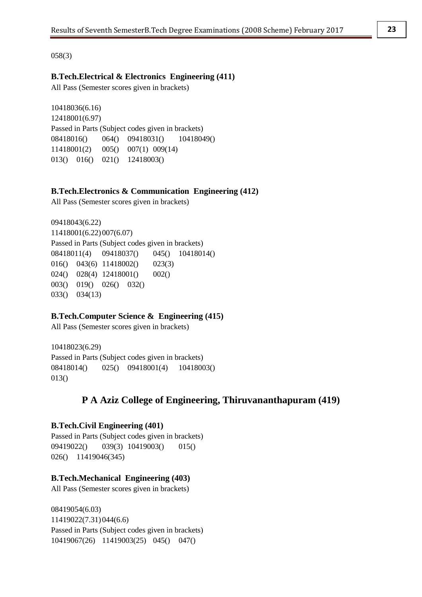058(3)

# **B.Tech.Electrical & Electronics Engineering (411)**

All Pass (Semester scores given in brackets)

10418036(6.16) 12418001(6.97) Passed in Parts (Subject codes given in brackets) 08418016() 064() 09418031() 10418049() 11418001(2) 005() 007(1) 009(14) 013() 016() 021() 12418003()

## **B.Tech.Electronics & Communication Engineering (412)**

All Pass (Semester scores given in brackets)

09418043(6.22) 11418001(6.22)007(6.07) Passed in Parts (Subject codes given in brackets) 08418011(4) 09418037() 045() 10418014() 016() 043(6) 11418002() 023(3) 024() 028(4) 12418001() 002() 003() 019() 026() 032() 033() 034(13)

## **B.Tech.Computer Science & Engineering (415)**

All Pass (Semester scores given in brackets)

10418023(6.29) Passed in Parts (Subject codes given in brackets) 08418014() 025() 09418001(4) 10418003() 013()

# **P A Aziz College of Engineering, Thiruvananthapuram (419)**

#### **B.Tech.Civil Engineering (401)**

Passed in Parts (Subject codes given in brackets) 09419022() 039(3) 10419003() 015() 026() 11419046(345)

#### **B.Tech.Mechanical Engineering (403)**

All Pass (Semester scores given in brackets)

08419054(6.03) 11419022(7.31)044(6.6) Passed in Parts (Subject codes given in brackets) 10419067(26) 11419003(25) 045() 047()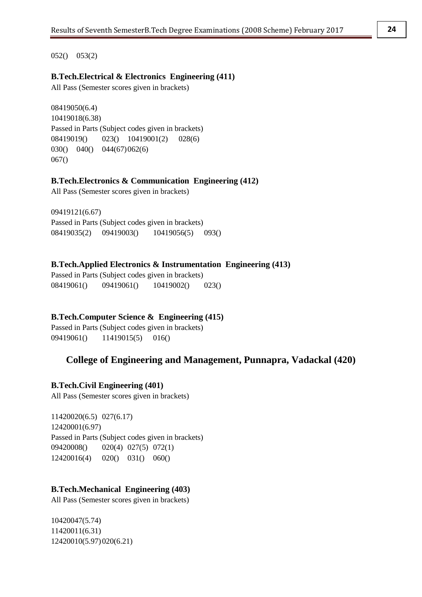052() 053(2)

# **B.Tech.Electrical & Electronics Engineering (411)**

All Pass (Semester scores given in brackets)

08419050(6.4) 10419018(6.38) Passed in Parts (Subject codes given in brackets) 08419019() 023() 10419001(2) 028(6) 030() 040() 044(67)062(6) 067()

## **B.Tech.Electronics & Communication Engineering (412)**

All Pass (Semester scores given in brackets)

09419121(6.67) Passed in Parts (Subject codes given in brackets) 08419035(2) 09419003() 10419056(5) 093()

## **B.Tech.Applied Electronics & Instrumentation Engineering (413)**

Passed in Parts (Subject codes given in brackets) 08419061() 09419061() 10419002() 023()

# **B.Tech.Computer Science & Engineering (415)**

Passed in Parts (Subject codes given in brackets) 09419061() 11419015(5) 016()

# **College of Engineering and Management, Punnapra, Vadackal (420)**

# **B.Tech.Civil Engineering (401)**

All Pass (Semester scores given in brackets)

11420020(6.5) 027(6.17) 12420001(6.97) Passed in Parts (Subject codes given in brackets) 09420008() 020(4) 027(5) 072(1) 12420016(4) 020() 031() 060()

#### **B.Tech.Mechanical Engineering (403)**

All Pass (Semester scores given in brackets)

10420047(5.74) 11420011(6.31) 12420010(5.97)020(6.21)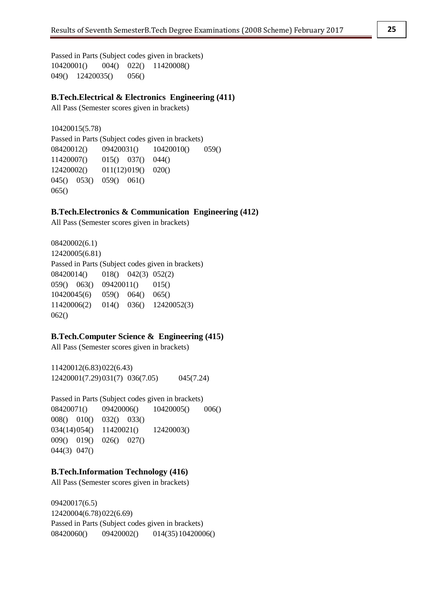Passed in Parts (Subject codes given in brackets) 10420001() 004() 022() 11420008() 049() 12420035() 056()

### **B.Tech.Electrical & Electronics Engineering (411)**

All Pass (Semester scores given in brackets)

10420015(5.78) Passed in Parts (Subject codes given in brackets) 08420012() 09420031() 10420010() 059() 11420007() 015() 037() 044() 12420002() 011(12)019() 020() 045() 053() 059() 061() 065()

## **B.Tech.Electronics & Communication Engineering (412)**

All Pass (Semester scores given in brackets)

08420002(6.1) 12420005(6.81) Passed in Parts (Subject codes given in brackets) 08420014() 018() 042(3) 052(2) 059() 063() 09420011() 015() 10420045(6) 059() 064() 065() 11420006(2) 014() 036() 12420052(3) 062()

#### **B.Tech.Computer Science & Engineering (415)**

All Pass (Semester scores given in brackets)

11420012(6.83)022(6.43) 12420001(7.29)031(7) 036(7.05) 045(7.24)

Passed in Parts (Subject codes given in brackets) 08420071() 09420006() 10420005() 006() 008() 010() 032() 033() 034(14)054() 11420021() 12420003() 009() 019() 026() 027() 044(3) 047()

#### **B.Tech.Information Technology (416)**

All Pass (Semester scores given in brackets)

09420017(6.5) 12420004(6.78)022(6.69) Passed in Parts (Subject codes given in brackets) 08420060() 09420002() 014(35)10420006()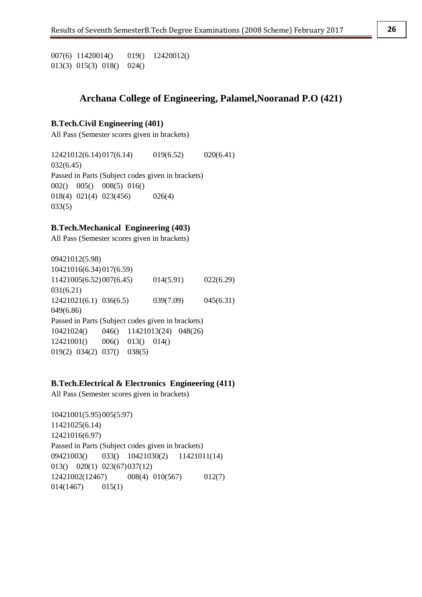007(6) 11420014() 019() 12420012() 013(3) 015(3) 018() 024()

# **Archana College of Engineering, Palamel,Nooranad P.O (421)**

#### **B.Tech.Civil Engineering (401)**

All Pass (Semester scores given in brackets)

12421012(6.14)017(6.14) 019(6.52) 020(6.41) 032(6.45) Passed in Parts (Subject codes given in brackets) 002() 005() 008(5) 016() 018(4) 021(4) 023(456) 026(4) 033(5)

## **B.Tech.Mechanical Engineering (403)**

All Pass (Semester scores given in brackets)

09421012(5.98) 10421016(6.34)017(6.59) 11421005(6.52)007(6.45) 014(5.91) 022(6.29) 031(6.21) 12421021(6.1) 036(6.5) 039(7.09) 045(6.31) 049(6.86) Passed in Parts (Subject codes given in brackets) 10421024() 046() 11421013(24) 048(26) 12421001() 006() 013() 014() 019(2) 034(2) 037() 038(5)

#### **B.Tech.Electrical & Electronics Engineering (411)**

All Pass (Semester scores given in brackets)

10421001(5.95)005(5.97) 11421025(6.14) 12421016(6.97) Passed in Parts (Subject codes given in brackets) 09421003() 033() 10421030(2) 11421011(14) 013() 020(1) 023(67)037(12) 12421002(12467) 008(4) 010(567) 012(7) 014(1467) 015(1)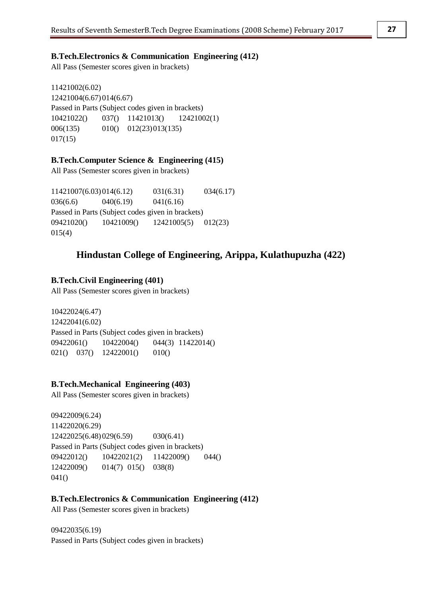# **B.Tech.Electronics & Communication Engineering (412)**

All Pass (Semester scores given in brackets)

11421002(6.02) 12421004(6.67)014(6.67) Passed in Parts (Subject codes given in brackets) 10421022() 037() 11421013() 12421002(1) 006(135) 010() 012(23)013(135)  $017(15)$ 

# **B.Tech.Computer Science & Engineering (415)**

All Pass (Semester scores given in brackets)

11421007(6.03)014(6.12) 031(6.31) 034(6.17) 036(6.6) 040(6.19) 041(6.16) Passed in Parts (Subject codes given in brackets) 09421020() 10421009() 12421005(5) 012(23) 015(4)

# **Hindustan College of Engineering, Arippa, Kulathupuzha (422)**

## **B.Tech.Civil Engineering (401)**

All Pass (Semester scores given in brackets)

10422024(6.47) 12422041(6.02) Passed in Parts (Subject codes given in brackets) 09422061() 10422004() 044(3) 11422014() 021() 037() 12422001() 010()

# **B.Tech.Mechanical Engineering (403)**

All Pass (Semester scores given in brackets)

09422009(6.24) 11422020(6.29) 12422025(6.48)029(6.59) 030(6.41) Passed in Parts (Subject codes given in brackets) 09422012() 10422021(2) 11422009() 044() 12422009() 014(7) 015() 038(8) 041()

#### **B.Tech.Electronics & Communication Engineering (412)**

All Pass (Semester scores given in brackets)

09422035(6.19) Passed in Parts (Subject codes given in brackets)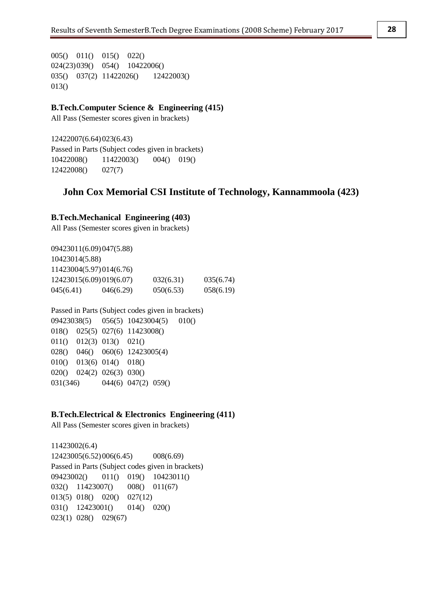005() 011() 015() 022() 024(23)039() 054() 10422006() 035() 037(2) 11422026() 12422003() 013()

# **B.Tech.Computer Science & Engineering (415)**

All Pass (Semester scores given in brackets)

12422007(6.64)023(6.43) Passed in Parts (Subject codes given in brackets) 10422008() 11422003() 004() 019() 12422008() 027(7)

# **John Cox Memorial CSI Institute of Technology, Kannammoola (423)**

### **B.Tech.Mechanical Engineering (403)**

All Pass (Semester scores given in brackets)

09423011(6.09)047(5.88) 10423014(5.88) 11423004(5.97)014(6.76) 12423015(6.09)019(6.07) 032(6.31) 035(6.74) 045(6.41) 046(6.29) 050(6.53) 058(6.19)

## Passed in Parts (Subject codes given in brackets)

09423038(5) 056(5) 10423004(5) 010() 018() 025(5) 027(6) 11423008() 011() 012(3) 013() 021() 028() 046() 060(6) 12423005(4) 010() 013(6) 014() 018() 020() 024(2) 026(3) 030() 031(346) 044(6) 047(2) 059()

### **B.Tech.Electrical & Electronics Engineering (411)**

All Pass (Semester scores given in brackets)

11423002(6.4) 12423005(6.52)006(6.45) 008(6.69) Passed in Parts (Subject codes given in brackets) 09423002() 011() 019() 10423011() 032() 11423007() 008() 011(67) 013(5) 018() 020() 027(12) 031() 12423001() 014() 020() 023(1) 028() 029(67)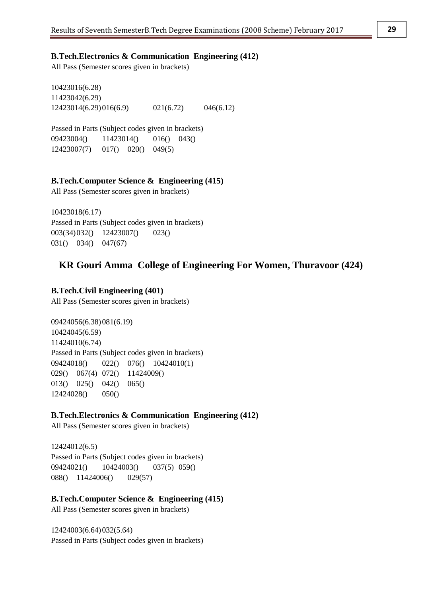## **B.Tech.Electronics & Communication Engineering (412)**

All Pass (Semester scores given in brackets)

10423016(6.28) 11423042(6.29) 12423014(6.29)016(6.9) 021(6.72) 046(6.12)

Passed in Parts (Subject codes given in brackets) 09423004() 11423014() 016() 043() 12423007(7) 017() 020() 049(5)

#### **B.Tech.Computer Science & Engineering (415)**

All Pass (Semester scores given in brackets)

10423018(6.17) Passed in Parts (Subject codes given in brackets) 003(34)032() 12423007() 023() 031() 034() 047(67)

# **KR Gouri Amma College of Engineering For Women, Thuravoor (424)**

### **B.Tech.Civil Engineering (401)**

All Pass (Semester scores given in brackets)

09424056(6.38)081(6.19) 10424045(6.59) 11424010(6.74) Passed in Parts (Subject codes given in brackets) 09424018() 022() 076() 10424010(1) 029() 067(4) 072() 11424009() 013() 025() 042() 065() 12424028() 050()

## **B.Tech.Electronics & Communication Engineering (412)**

All Pass (Semester scores given in brackets)

12424012(6.5) Passed in Parts (Subject codes given in brackets) 09424021() 10424003() 037(5) 059() 088() 11424006() 029(57)

#### **B.Tech.Computer Science & Engineering (415)**

All Pass (Semester scores given in brackets)

12424003(6.64)032(5.64) Passed in Parts (Subject codes given in brackets)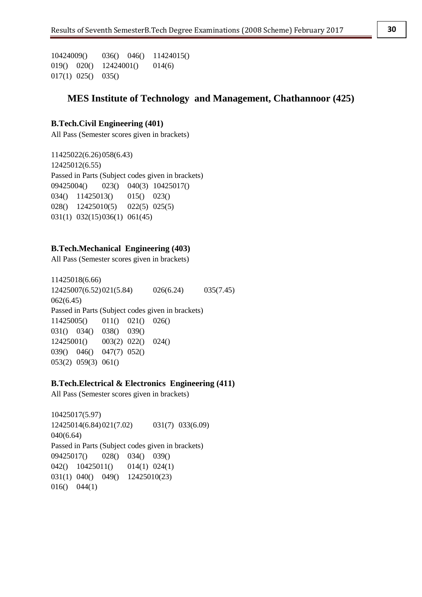10424009() 036() 046() 11424015() 019() 020() 12424001() 014(6) 017(1) 025() 035()

# **MES Institute of Technology and Management, Chathannoor (425)**

## **B.Tech.Civil Engineering (401)**

All Pass (Semester scores given in brackets)

11425022(6.26)058(6.43) 12425012(6.55) Passed in Parts (Subject codes given in brackets) 09425004() 023() 040(3) 10425017() 034() 11425013() 015() 023() 028() 12425010(5) 022(5) 025(5) 031(1) 032(15)036(1) 061(45)

#### **B.Tech.Mechanical Engineering (403)**

All Pass (Semester scores given in brackets)

11425018(6.66) 12425007(6.52)021(5.84) 026(6.24) 035(7.45) 062(6.45) Passed in Parts (Subject codes given in brackets) 11425005() 011() 021() 026() 031() 034() 038() 039() 12425001() 003(2) 022() 024() 039() 046() 047(7) 052() 053(2) 059(3) 061()

# **B.Tech.Electrical & Electronics Engineering (411)**

All Pass (Semester scores given in brackets)

10425017(5.97) 12425014(6.84)021(7.02) 031(7) 033(6.09) 040(6.64) Passed in Parts (Subject codes given in brackets) 09425017() 028() 034() 039() 042() 10425011() 014(1) 024(1) 031(1) 040() 049() 12425010(23) 016() 044(1)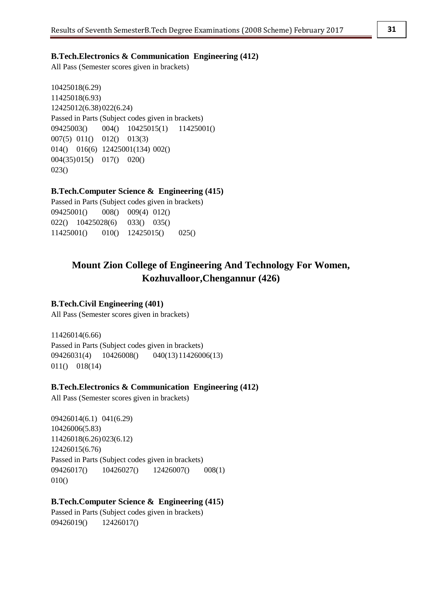#### **B.Tech.Electronics & Communication Engineering (412)**

All Pass (Semester scores given in brackets)

10425018(6.29) 11425018(6.93) 12425012(6.38)022(6.24) Passed in Parts (Subject codes given in brackets) 09425003() 004() 10425015(1) 11425001() 007(5) 011() 012() 013(3) 014() 016(6) 12425001(134) 002() 004(35)015() 017() 020() 023()

## **B.Tech.Computer Science & Engineering (415)**

Passed in Parts (Subject codes given in brackets) 09425001() 008() 009(4) 012() 022() 10425028(6) 033() 035() 11425001() 010() 12425015() 025()

# **Mount Zion College of Engineering And Technology For Women, Kozhuvalloor,Chengannur (426)**

## **B.Tech.Civil Engineering (401)**

All Pass (Semester scores given in brackets)

11426014(6.66) Passed in Parts (Subject codes given in brackets) 09426031(4) 10426008() 040(13)11426006(13) 011() 018(14)

### **B.Tech.Electronics & Communication Engineering (412)**

All Pass (Semester scores given in brackets)

09426014(6.1) 041(6.29) 10426006(5.83) 11426018(6.26)023(6.12) 12426015(6.76) Passed in Parts (Subject codes given in brackets) 09426017() 10426027() 12426007() 008(1) 010()

## **B.Tech.Computer Science & Engineering (415)**

Passed in Parts (Subject codes given in brackets) 09426019() 12426017()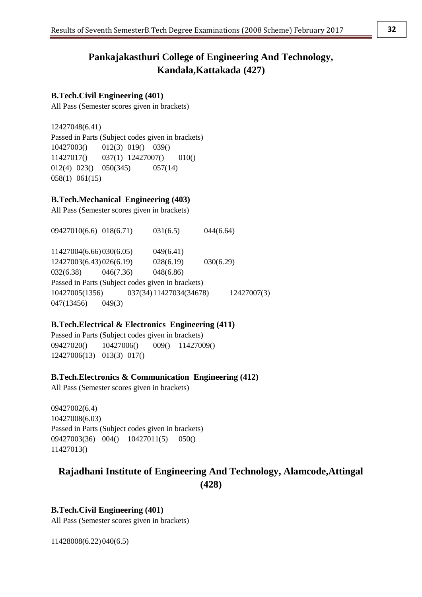# **Pankajakasthuri College of Engineering And Technology, Kandala,Kattakada (427)**

# **B.Tech.Civil Engineering (401)**

All Pass (Semester scores given in brackets)

12427048(6.41) Passed in Parts (Subject codes given in brackets) 10427003() 012(3) 019() 039() 11427017() 037(1) 12427007() 010() 012(4) 023() 050(345) 057(14) 058(1) 061(15)

# **B.Tech.Mechanical Engineering (403)**

All Pass (Semester scores given in brackets)

09427010(6.6) 018(6.71) 031(6.5) 044(6.64) 11427004(6.66)030(6.05) 049(6.41) 12427003(6.43)026(6.19) 028(6.19) 030(6.29) 032(6.38) 046(7.36) 048(6.86) Passed in Parts (Subject codes given in brackets) 10427005(1356) 037(34)11427034(34678) 12427007(3) 047(13456) 049(3)

## **B.Tech.Electrical & Electronics Engineering (411)**

Passed in Parts (Subject codes given in brackets) 09427020() 10427006() 009() 11427009() 12427006(13) 013(3) 017()

## **B.Tech.Electronics & Communication Engineering (412)**

All Pass (Semester scores given in brackets)

09427002(6.4) 10427008(6.03) Passed in Parts (Subject codes given in brackets) 09427003(36) 004() 10427011(5) 050() 11427013()

# **Rajadhani Institute of Engineering And Technology, Alamcode,Attingal (428)**

# **B.Tech.Civil Engineering (401)**

All Pass (Semester scores given in brackets)

11428008(6.22)040(6.5)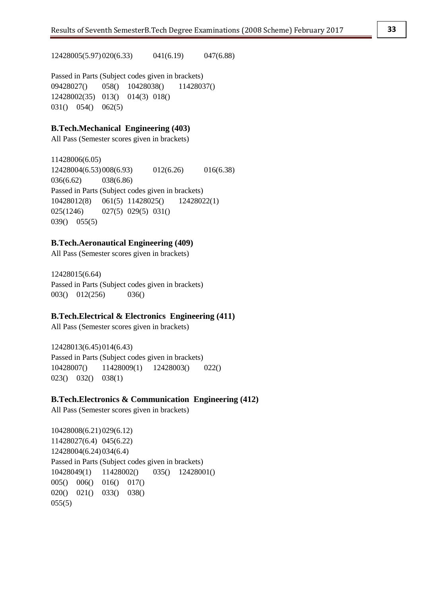12428005(5.97)020(6.33) 041(6.19) 047(6.88)

Passed in Parts (Subject codes given in brackets) 09428027() 058() 10428038() 11428037() 12428002(35) 013() 014(3) 018() 031() 054() 062(5)

# **B.Tech.Mechanical Engineering (403)**

All Pass (Semester scores given in brackets)

11428006(6.05) 12428004(6.53)008(6.93) 012(6.26) 016(6.38) 036(6.62) 038(6.86) Passed in Parts (Subject codes given in brackets) 10428012(8) 061(5) 11428025() 12428022(1) 025(1246) 027(5) 029(5) 031() 039() 055(5)

#### **B.Tech.Aeronautical Engineering (409)**

All Pass (Semester scores given in brackets)

12428015(6.64) Passed in Parts (Subject codes given in brackets) 003() 012(256) 036()

#### **B.Tech.Electrical & Electronics Engineering (411)**

All Pass (Semester scores given in brackets)

12428013(6.45)014(6.43) Passed in Parts (Subject codes given in brackets) 10428007() 11428009(1) 12428003() 022() 023() 032() 038(1)

### **B.Tech.Electronics & Communication Engineering (412)**

All Pass (Semester scores given in brackets)

10428008(6.21)029(6.12) 11428027(6.4) 045(6.22) 12428004(6.24)034(6.4) Passed in Parts (Subject codes given in brackets) 10428049(1) 11428002() 035() 12428001() 005() 006() 016() 017() 020() 021() 033() 038()  $055(5)$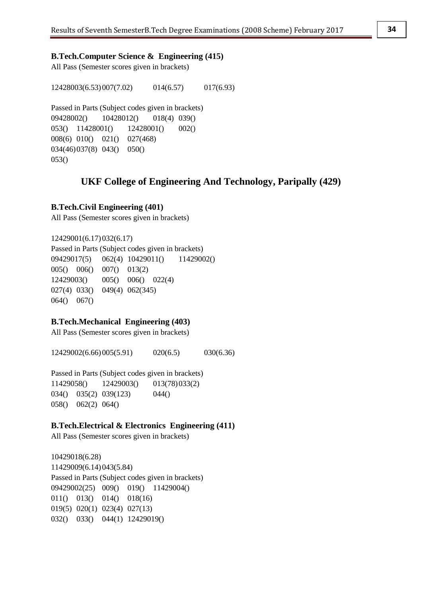#### **B.Tech.Computer Science & Engineering (415)**

All Pass (Semester scores given in brackets)

12428003(6.53)007(7.02) 014(6.57) 017(6.93)

Passed in Parts (Subject codes given in brackets) 09428002() 10428012() 018(4) 039() 053() 11428001() 12428001() 002() 008(6) 010() 021() 027(468) 034(46)037(8) 043() 050() 053()

# **UKF College of Engineering And Technology, Paripally (429)**

#### **B.Tech.Civil Engineering (401)**

All Pass (Semester scores given in brackets)

12429001(6.17)032(6.17) Passed in Parts (Subject codes given in brackets) 09429017(5) 062(4) 10429011() 11429002() 005() 006() 007() 013(2) 12429003() 005() 006() 022(4) 027(4) 033() 049(4) 062(345) 064() 067()

#### **B.Tech.Mechanical Engineering (403)**

All Pass (Semester scores given in brackets)

12429002(6.66)005(5.91) 020(6.5) 030(6.36)

Passed in Parts (Subject codes given in brackets) 11429058() 12429003() 013(78)033(2) 034() 035(2) 039(123) 044() 058() 062(2) 064()

## **B.Tech.Electrical & Electronics Engineering (411)**

All Pass (Semester scores given in brackets)

10429018(6.28) 11429009(6.14)043(5.84) Passed in Parts (Subject codes given in brackets) 09429002(25) 009() 019() 11429004() 011() 013() 014() 018(16) 019(5) 020(1) 023(4) 027(13) 032() 033() 044(1) 12429019()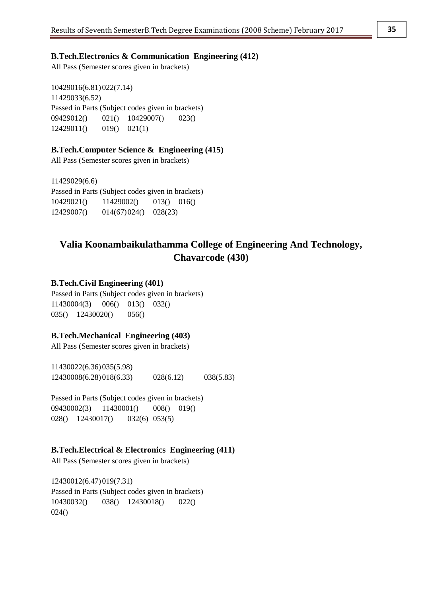### **B.Tech.Electronics & Communication Engineering (412)**

All Pass (Semester scores given in brackets)

10429016(6.81)022(7.14) 11429033(6.52) Passed in Parts (Subject codes given in brackets) 09429012() 021() 10429007() 023() 12429011() 019() 021(1)

#### **B.Tech.Computer Science & Engineering (415)**

All Pass (Semester scores given in brackets)

11429029(6.6) Passed in Parts (Subject codes given in brackets) 10429021() 11429002() 013() 016() 12429007() 014(67)024() 028(23)

# **Valia Koonambaikulathamma College of Engineering And Technology, Chavarcode (430)**

### **B.Tech.Civil Engineering (401)**

Passed in Parts (Subject codes given in brackets) 11430004(3) 006() 013() 032() 035() 12430020() 056()

#### **B.Tech.Mechanical Engineering (403)**

All Pass (Semester scores given in brackets)

11430022(6.36)035(5.98) 12430008(6.28)018(6.33) 028(6.12) 038(5.83)

Passed in Parts (Subject codes given in brackets) 09430002(3) 11430001() 008() 019() 028() 12430017() 032(6) 053(5)

#### **B.Tech.Electrical & Electronics Engineering (411)**

All Pass (Semester scores given in brackets)

12430012(6.47)019(7.31) Passed in Parts (Subject codes given in brackets) 10430032() 038() 12430018() 022() 024()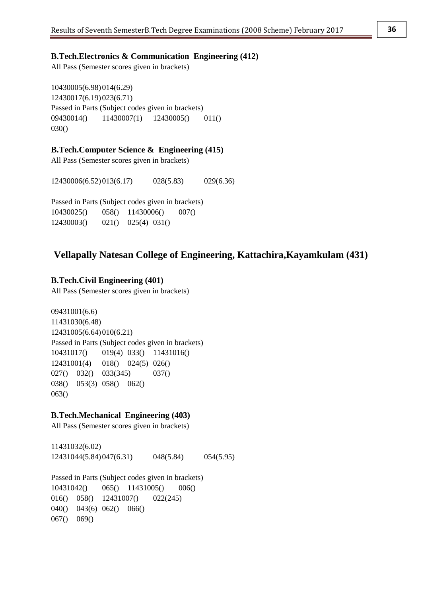## **B.Tech.Electronics & Communication Engineering (412)**

All Pass (Semester scores given in brackets)

10430005(6.98)014(6.29) 12430017(6.19)023(6.71) Passed in Parts (Subject codes given in brackets) 09430014() 11430007(1) 12430005() 011() 030()

#### **B.Tech.Computer Science & Engineering (415)**

All Pass (Semester scores given in brackets)

12430006(6.52)013(6.17) 028(5.83) 029(6.36)

Passed in Parts (Subject codes given in brackets) 10430025() 058() 11430006() 007() 12430003() 021() 025(4) 031()

# **Vellapally Natesan College of Engineering, Kattachira,Kayamkulam (431)**

## **B.Tech.Civil Engineering (401)**

All Pass (Semester scores given in brackets)

09431001(6.6) 11431030(6.48) 12431005(6.64)010(6.21) Passed in Parts (Subject codes given in brackets) 10431017() 019(4) 033() 11431016() 12431001(4) 018() 024(5) 026() 027() 032() 033(345) 037() 038() 053(3) 058() 062() 063()

## **B.Tech.Mechanical Engineering (403)**

All Pass (Semester scores given in brackets)

11431032(6.02) 12431044(5.84)047(6.31) 048(5.84) 054(5.95)

Passed in Parts (Subject codes given in brackets) 10431042() 065() 11431005() 006() 016() 058() 12431007() 022(245) 040() 043(6) 062() 066() 067() 069()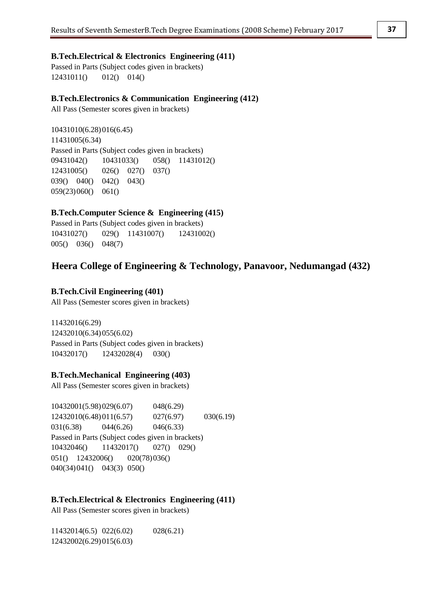Passed in Parts (Subject codes given in brackets) 12431011() 012() 014()

# **B.Tech.Electronics & Communication Engineering (412)**

All Pass (Semester scores given in brackets)

10431010(6.28)016(6.45) 11431005(6.34) Passed in Parts (Subject codes given in brackets) 09431042() 10431033() 058() 11431012() 12431005() 026() 027() 037() 039() 040() 042() 043() 059(23)060() 061()

# **B.Tech.Computer Science & Engineering (415)**

Passed in Parts (Subject codes given in brackets) 10431027() 029() 11431007() 12431002() 005() 036() 048(7)

# **Heera College of Engineering & Technology, Panavoor, Nedumangad (432)**

# **B.Tech.Civil Engineering (401)**

All Pass (Semester scores given in brackets)

11432016(6.29) 12432010(6.34)055(6.02) Passed in Parts (Subject codes given in brackets) 10432017() 12432028(4) 030()

# **B.Tech.Mechanical Engineering (403)**

All Pass (Semester scores given in brackets)

10432001(5.98)029(6.07) 048(6.29) 12432010(6.48)011(6.57) 027(6.97) 030(6.19) 031(6.38) 044(6.26) 046(6.33) Passed in Parts (Subject codes given in brackets) 10432046() 11432017() 027() 029() 051() 12432006() 020(78)036() 040(34)041() 043(3) 050()

# **B.Tech.Electrical & Electronics Engineering (411)**

All Pass (Semester scores given in brackets)

11432014(6.5) 022(6.02) 028(6.21) 12432002(6.29)015(6.03)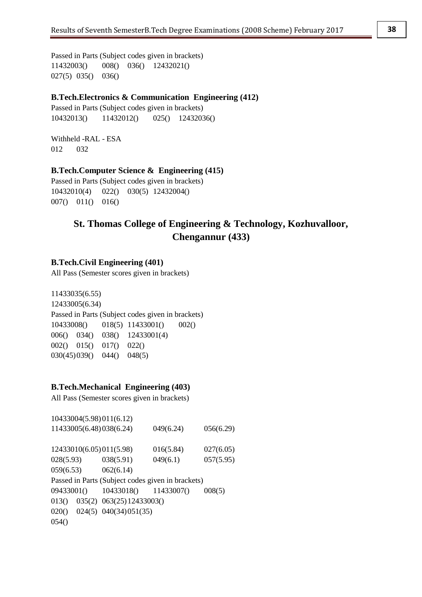Passed in Parts (Subject codes given in brackets) 11432003() 008() 036() 12432021() 027(5) 035() 036()

# **B.Tech.Electronics & Communication Engineering (412)**

Passed in Parts (Subject codes given in brackets) 10432013() 11432012() 025() 12432036()

Withheld -RAL - ESA 012 032

### **B.Tech.Computer Science & Engineering (415)**

Passed in Parts (Subject codes given in brackets) 10432010(4) 022() 030(5) 12432004() 007() 011() 016()

# **St. Thomas College of Engineering & Technology, Kozhuvalloor, Chengannur (433)**

### **B.Tech.Civil Engineering (401)**

All Pass (Semester scores given in brackets)

11433035(6.55) 12433005(6.34) Passed in Parts (Subject codes given in brackets) 10433008() 018(5) 11433001() 002() 006() 034() 038() 12433001(4) 002() 015() 017() 022() 030(45)039() 044() 048(5)

# **B.Tech.Mechanical Engineering (403)**

All Pass (Semester scores given in brackets)

| 10433004(5.98)011(6.12)                           |                                      |           |           |
|---------------------------------------------------|--------------------------------------|-----------|-----------|
| 11433005(6.48)038(6.24)                           |                                      | 049(6.24) | 056(6.29) |
| 12433010(6.05) 011(5.98)                          |                                      | 016(5.84) | 027(6.05) |
| $028(5.93)$ $038(5.91)$                           |                                      | 049(6.1)  | 057(5.95) |
| $059(6.53)$ $062(6.14)$                           |                                      |           |           |
| Passed in Parts (Subject codes given in brackets) |                                      |           |           |
| 09433001() 10433018() 11433007()                  |                                      |           | 008(5)    |
|                                                   | $013()$ $035(2)$ $063(25)12433003()$ |           |           |
| $020()$ $024(5)$ $040(34)051(35)$                 |                                      |           |           |
| 054()                                             |                                      |           |           |
|                                                   |                                      |           |           |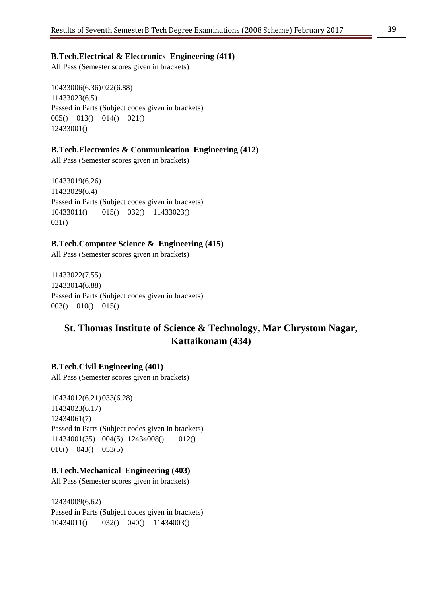All Pass (Semester scores given in brackets)

10433006(6.36)022(6.88) 11433023(6.5) Passed in Parts (Subject codes given in brackets) 005() 013() 014() 021() 12433001()

#### **B.Tech.Electronics & Communication Engineering (412)**

All Pass (Semester scores given in brackets)

10433019(6.26) 11433029(6.4) Passed in Parts (Subject codes given in brackets) 10433011() 015() 032() 11433023() 031()

## **B.Tech.Computer Science & Engineering (415)**

All Pass (Semester scores given in brackets)

11433022(7.55) 12433014(6.88) Passed in Parts (Subject codes given in brackets) 003() 010() 015()

# **St. Thomas Institute of Science & Technology, Mar Chrystom Nagar, Kattaikonam (434)**

#### **B.Tech.Civil Engineering (401)**

All Pass (Semester scores given in brackets)

10434012(6.21)033(6.28) 11434023(6.17) 12434061(7) Passed in Parts (Subject codes given in brackets) 11434001(35) 004(5) 12434008() 012() 016() 043() 053(5)

## **B.Tech.Mechanical Engineering (403)**

All Pass (Semester scores given in brackets)

12434009(6.62) Passed in Parts (Subject codes given in brackets) 10434011() 032() 040() 11434003()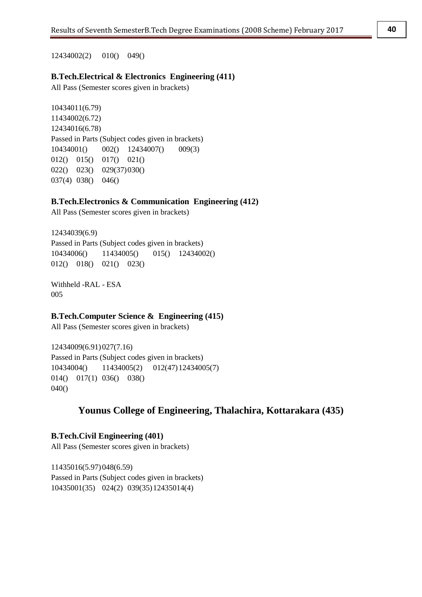All Pass (Semester scores given in brackets)

10434011(6.79) 11434002(6.72) 12434016(6.78) Passed in Parts (Subject codes given in brackets) 10434001() 002() 12434007() 009(3) 012() 015() 017() 021() 022() 023() 029(37)030() 037(4) 038() 046()

## **B.Tech.Electronics & Communication Engineering (412)**

All Pass (Semester scores given in brackets)

12434039(6.9) Passed in Parts (Subject codes given in brackets) 10434006() 11434005() 015() 12434002() 012() 018() 021() 023()

Withheld -RAL - ESA 005

## **B.Tech.Computer Science & Engineering (415)**

All Pass (Semester scores given in brackets)

12434009(6.91)027(7.16) Passed in Parts (Subject codes given in brackets) 10434004() 11434005(2) 012(47)12434005(7) 014() 017(1) 036() 038() 040()

# **Younus College of Engineering, Thalachira, Kottarakara (435)**

**B.Tech.Civil Engineering (401)** All Pass (Semester scores given in brackets)

11435016(5.97)048(6.59) Passed in Parts (Subject codes given in brackets) 10435001(35) 024(2) 039(35)12435014(4)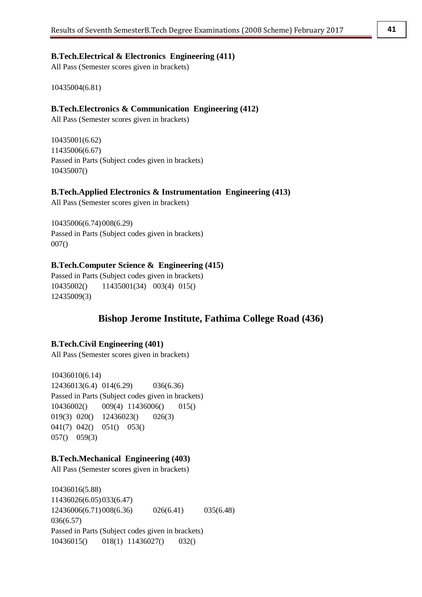All Pass (Semester scores given in brackets)

10435004(6.81)

#### **B.Tech.Electronics & Communication Engineering (412)**

All Pass (Semester scores given in brackets)

10435001(6.62) 11435006(6.67) Passed in Parts (Subject codes given in brackets) 10435007()

#### **B.Tech.Applied Electronics & Instrumentation Engineering (413)**

All Pass (Semester scores given in brackets)

10435006(6.74)008(6.29) Passed in Parts (Subject codes given in brackets) 007()

#### **B.Tech.Computer Science & Engineering (415)**

Passed in Parts (Subject codes given in brackets) 10435002() 11435001(34) 003(4) 015() 12435009(3)

# **Bishop Jerome Institute, Fathima College Road (436)**

#### **B.Tech.Civil Engineering (401)**

All Pass (Semester scores given in brackets)

10436010(6.14) 12436013(6.4) 014(6.29) 036(6.36) Passed in Parts (Subject codes given in brackets) 10436002() 009(4) 11436006() 015() 019(3) 020() 12436023() 026(3) 041(7) 042() 051() 053() 057() 059(3)

#### **B.Tech.Mechanical Engineering (403)**

All Pass (Semester scores given in brackets)

10436016(5.88) 11436026(6.05)033(6.47) 12436006(6.71)008(6.36) 026(6.41) 035(6.48) 036(6.57) Passed in Parts (Subject codes given in brackets) 10436015() 018(1) 11436027() 032()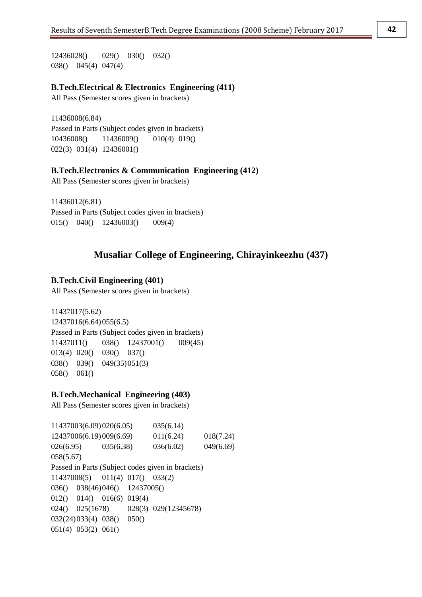12436028() 029() 030() 032() 038() 045(4) 047(4)

#### **B.Tech.Electrical & Electronics Engineering (411)**

All Pass (Semester scores given in brackets)

11436008(6.84) Passed in Parts (Subject codes given in brackets) 10436008() 11436009() 010(4) 019() 022(3) 031(4) 12436001()

### **B.Tech.Electronics & Communication Engineering (412)**

All Pass (Semester scores given in brackets)

11436012(6.81) Passed in Parts (Subject codes given in brackets) 015() 040() 12436003() 009(4)

# **Musaliar College of Engineering, Chirayinkeezhu (437)**

## **B.Tech.Civil Engineering (401)**

All Pass (Semester scores given in brackets)

11437017(5.62) 12437016(6.64)055(6.5) Passed in Parts (Subject codes given in brackets) 11437011() 038() 12437001() 009(45) 013(4) 020() 030() 037() 038() 039() 049(35)051(3) 058() 061()

#### **B.Tech.Mechanical Engineering (403)**

All Pass (Semester scores given in brackets)

11437003(6.09)020(6.05) 035(6.14) 12437006(6.19)009(6.69) 011(6.24) 018(7.24) 026(6.95) 035(6.38) 036(6.02) 049(6.69) 058(5.67) Passed in Parts (Subject codes given in brackets) 11437008(5) 011(4) 017() 033(2) 036() 038(46)046() 12437005() 012() 014() 016(6) 019(4) 024() 025(1678) 028(3) 029(12345678) 032(24)033(4) 038() 050() 051(4) 053(2) 061()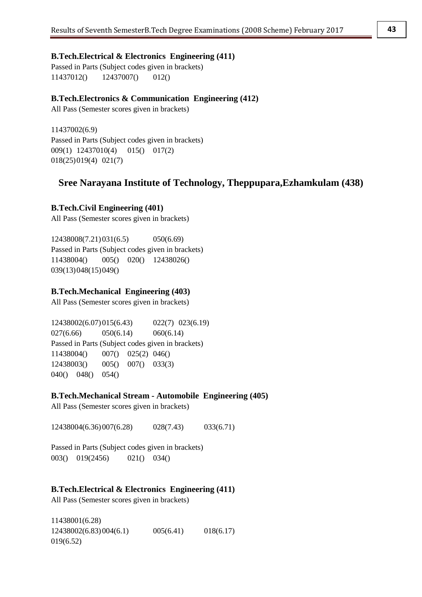**B.Tech.Electrical & Electronics Engineering (411)** Passed in Parts (Subject codes given in brackets)

11437012() 12437007() 012()

# **B.Tech.Electronics & Communication Engineering (412)**

All Pass (Semester scores given in brackets)

11437002(6.9) Passed in Parts (Subject codes given in brackets) 009(1) 12437010(4) 015() 017(2) 018(25)019(4) 021(7)

# **Sree Narayana Institute of Technology, Theppupara,Ezhamkulam (438)**

# **B.Tech.Civil Engineering (401)**

All Pass (Semester scores given in brackets)

12438008(7.21)031(6.5) 050(6.69) Passed in Parts (Subject codes given in brackets) 11438004() 005() 020() 12438026() 039(13)048(15)049()

# **B.Tech.Mechanical Engineering (403)**

All Pass (Semester scores given in brackets)

12438002(6.07)015(6.43) 022(7) 023(6.19) 027(6.66) 050(6.14) 060(6.14) Passed in Parts (Subject codes given in brackets) 11438004() 007() 025(2) 046() 12438003() 005() 007() 033(3) 040() 048() 054()

# **B.Tech.Mechanical Stream - Automobile Engineering (405)**

All Pass (Semester scores given in brackets)

12438004(6.36)007(6.28) 028(7.43) 033(6.71)

Passed in Parts (Subject codes given in brackets) 003() 019(2456) 021() 034()

# **B.Tech.Electrical & Electronics Engineering (411)**

All Pass (Semester scores given in brackets)

11438001(6.28) 12438002(6.83)004(6.1) 005(6.41) 018(6.17) 019(6.52)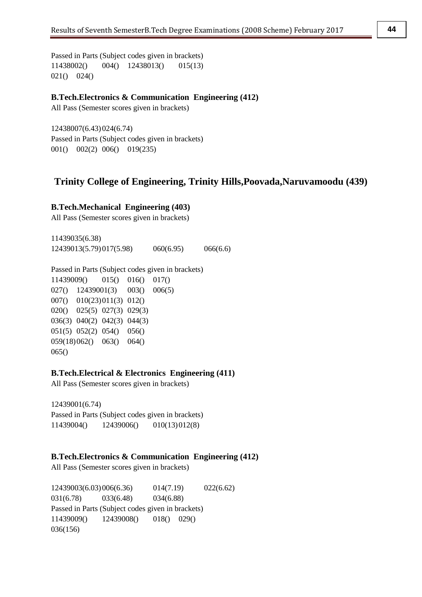Passed in Parts (Subject codes given in brackets) 11438002() 004() 12438013() 015(13) 021() 024()

**B.Tech.Electronics & Communication Engineering (412)**

All Pass (Semester scores given in brackets)

12438007(6.43)024(6.74) Passed in Parts (Subject codes given in brackets) 001() 002(2) 006() 019(235)

# **Trinity College of Engineering, Trinity Hills,Poovada,Naruvamoodu (439)**

#### **B.Tech.Mechanical Engineering (403)**

All Pass (Semester scores given in brackets)

11439035(6.38) 12439013(5.79)017(5.98) 060(6.95) 066(6.6)

Passed in Parts (Subject codes given in brackets)

11439009() 015() 016() 017() 027() 12439001(3) 003() 006(5) 007() 010(23)011(3) 012() 020() 025(5) 027(3) 029(3) 036(3) 040(2) 042(3) 044(3) 051(5) 052(2) 054() 056() 059(18)062() 063() 064() 065()

#### **B.Tech.Electrical & Electronics Engineering (411)**

All Pass (Semester scores given in brackets)

12439001(6.74) Passed in Parts (Subject codes given in brackets) 11439004() 12439006() 010(13)012(8)

## **B.Tech.Electronics & Communication Engineering (412)**

All Pass (Semester scores given in brackets)

12439003(6.03)006(6.36) 014(7.19) 022(6.62) 031(6.78) 033(6.48) 034(6.88) Passed in Parts (Subject codes given in brackets) 11439009() 12439008() 018() 029() 036(156)